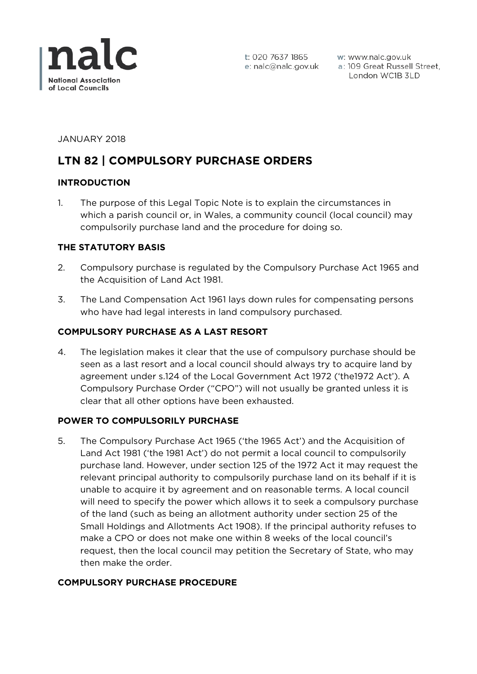

w: www.nalc.gov.uk a: 109 Great Russell Street, London WC1B 3LD

JANUARY 2018

# **LTN 82 | COMPULSORY PURCHASE ORDERS**

## **INTRODUCTION**

1. The purpose of this Legal Topic Note is to explain the circumstances in which a parish council or, in Wales, a community council (local council) may compulsorily purchase land and the procedure for doing so.

## **THE STATUTORY BASIS**

- 2. Compulsory purchase is regulated by the Compulsory Purchase Act 1965 and the Acquisition of Land Act 1981.
- 3. The Land Compensation Act 1961 lays down rules for compensating persons who have had legal interests in land compulsory purchased.

## **COMPULSORY PURCHASE AS A LAST RESORT**

4. The legislation makes it clear that the use of compulsory purchase should be seen as a last resort and a local council should always try to acquire land by agreement under s.124 of the Local Government Act 1972 ('the1972 Act'). A Compulsory Purchase Order ("CPO") will not usually be granted unless it is clear that all other options have been exhausted.

#### **POWER TO COMPULSORILY PURCHASE**

5. The Compulsory Purchase Act 1965 ('the 1965 Act') and the Acquisition of Land Act 1981 ('the 1981 Act') do not permit a local council to compulsorily purchase land. However, under section 125 of the 1972 Act it may request the relevant principal authority to compulsorily purchase land on its behalf if it is unable to acquire it by agreement and on reasonable terms. A local council will need to specify the power which allows it to seek a compulsory purchase of the land (such as being an allotment authority under section 25 of the Small Holdings and Allotments Act 1908). If the principal authority refuses to make a CPO or does not make one within 8 weeks of the local council's request, then the local council may petition the Secretary of State, who may then make the order.

#### **COMPULSORY PURCHASE PROCEDURE**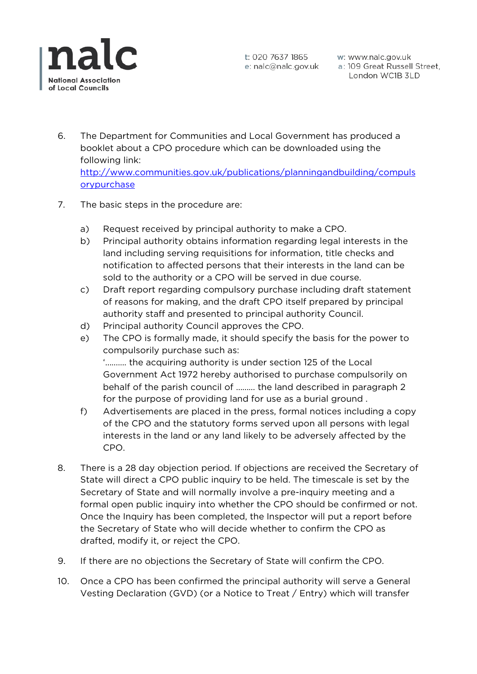

w: www.nalc.gov.uk a: 109 Great Russell Street, London WC1B 3LD

- 6. The Department for Communities and Local Government has produced a booklet about a CPO procedure which can be downloaded using the following link: http://www.communities.gov.uk/publications/planningandbuilding/compuls orypurchase
- 7. The basic steps in the procedure are:
	- a) Request received by principal authority to make a CPO.
	- b) Principal authority obtains information regarding legal interests in the land including serving requisitions for information, title checks and notification to affected persons that their interests in the land can be sold to the authority or a CPO will be served in due course.
	- c) Draft report regarding compulsory purchase including draft statement of reasons for making, and the draft CPO itself prepared by principal authority staff and presented to principal authority Council.
	- d) Principal authority Council approves the CPO.
	- e) The CPO is formally made, it should specify the basis for the power to compulsorily purchase such as: '………. the acquiring authority is under section 125 of the Local Government Act 1972 hereby authorised to purchase compulsorily on behalf of the parish council of ……… the land described in paragraph 2 for the purpose of providing land for use as a burial ground .
	- f) Advertisements are placed in the press, formal notices including a copy of the CPO and the statutory forms served upon all persons with legal interests in the land or any land likely to be adversely affected by the CPO.
- 8. There is a 28 day objection period. If objections are received the Secretary of State will direct a CPO public inquiry to be held. The timescale is set by the Secretary of State and will normally involve a pre-inquiry meeting and a formal open public inquiry into whether the CPO should be confirmed or not. Once the Inquiry has been completed, the Inspector will put a report before the Secretary of State who will decide whether to confirm the CPO as drafted, modify it, or reject the CPO.
- 9. If there are no objections the Secretary of State will confirm the CPO.
- 10. Once a CPO has been confirmed the principal authority will serve a General Vesting Declaration (GVD) (or a Notice to Treat / Entry) which will transfer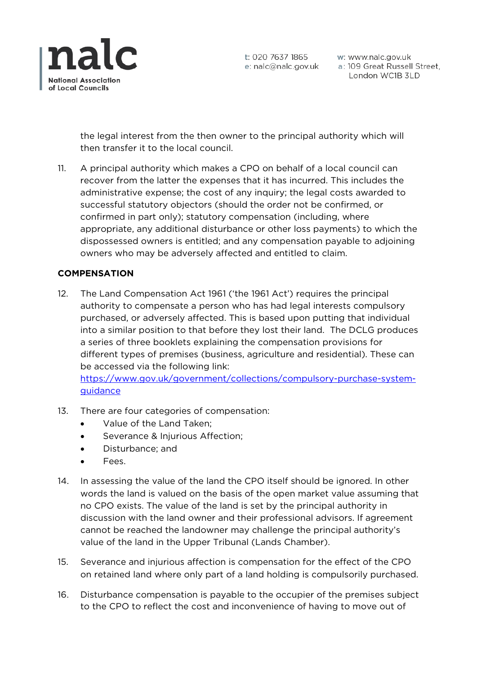

w: www.nalc.gov.uk w: www.nalc.gov.uk<br>a: 109 Great Russell Street,<br>London WC1B 3LD London WC1B 3LD

the legal interest from the then owner to the principal authority which will then transfer it to the local council.

11. A principal authority which makes a CPO on behalf of a local council can recover from the latter the expenses that it has incurred. This includes the administrative expense; the cost of any inquiry; the legal costs awarded to successful statutory objectors (should the order not be confirmed, or confirmed in part only); statutory compensation (including, where appropriate, any additional disturbance or other loss payments) to which the dispossessed owners is entitled; and any compensation payable to adjoining owners who may be adversely affected and entitled to claim.

# **COMPENSATION**

12. The Land Compensation Act 1961 ('the 1961 Act') requires the principal authority to compensate a person who has had legal interests compulsory purchased, or adversely affected. This is based upon putting that individual into a similar position to that before they lost their land. The DCLG produces a series of three booklets explaining the compensation provisions for different types of premises (business, agriculture and residential). These can be accessed via the following link:

https://www.gov.uk/government/collections/compulsory-purchase-systemguidance

- 13. There are four categories of compensation:
	- Value of the Land Taken;
	- Severance & Injurious Affection;
	- Disturbance; and
	- Fees.
- 14. In assessing the value of the land the CPO itself should be ignored. In other words the land is valued on the basis of the open market value assuming that no CPO exists. The value of the land is set by the principal authority in discussion with the land owner and their professional advisors. If agreement cannot be reached the landowner may challenge the principal authority's value of the land in the Upper Tribunal (Lands Chamber).
- 15. Severance and injurious affection is compensation for the effect of the CPO on retained land where only part of a land holding is compulsorily purchased.
- 16. Disturbance compensation is payable to the occupier of the premises subject to the CPO to reflect the cost and inconvenience of having to move out of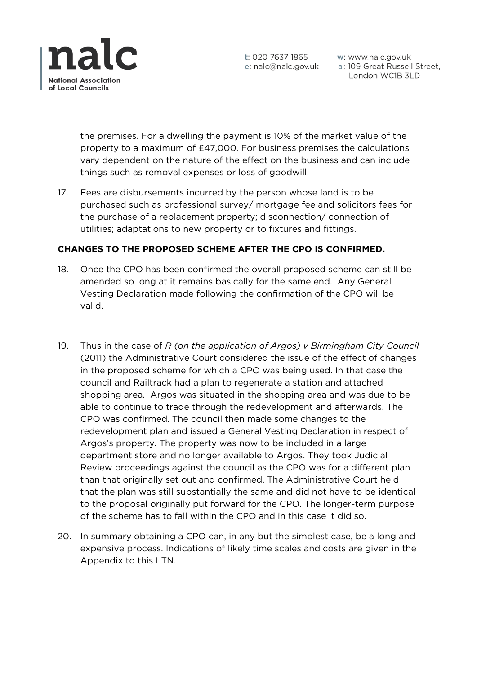

w: www.nalc.gov.uk a: 109 Great Russell Street, London WC1B 3LD

the premises. For a dwelling the payment is 10% of the market value of the property to a maximum of £47,000. For business premises the calculations vary dependent on the nature of the effect on the business and can include things such as removal expenses or loss of goodwill.

17. Fees are disbursements incurred by the person whose land is to be purchased such as professional survey/ mortgage fee and solicitors fees for the purchase of a replacement property; disconnection/ connection of utilities; adaptations to new property or to fixtures and fittings.

# **CHANGES TO THE PROPOSED SCHEME AFTER THE CPO IS CONFIRMED.**

- 18. Once the CPO has been confirmed the overall proposed scheme can still be amended so long at it remains basically for the same end. Any General Vesting Declaration made following the confirmation of the CPO will be valid.
- 19. Thus in the case of *R (on the application of Argos) v Birmingham City Council* (2011) the Administrative Court considered the issue of the effect of changes in the proposed scheme for which a CPO was being used. In that case the council and Railtrack had a plan to regenerate a station and attached shopping area. Argos was situated in the shopping area and was due to be able to continue to trade through the redevelopment and afterwards. The CPO was confirmed. The council then made some changes to the redevelopment plan and issued a General Vesting Declaration in respect of Argos's property. The property was now to be included in a large department store and no longer available to Argos. They took Judicial Review proceedings against the council as the CPO was for a different plan than that originally set out and confirmed. The Administrative Court held that the plan was still substantially the same and did not have to be identical to the proposal originally put forward for the CPO. The longer-term purpose of the scheme has to fall within the CPO and in this case it did so.
- 20. In summary obtaining a CPO can, in any but the simplest case, be a long and expensive process. Indications of likely time scales and costs are given in the Appendix to this LTN.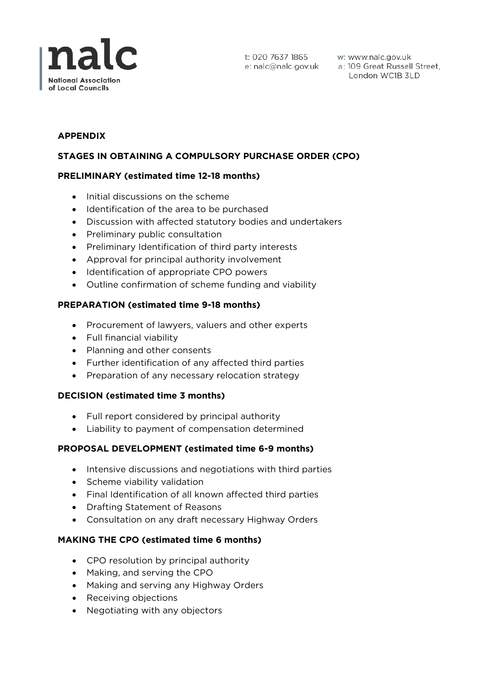

t: 020 7637 1865

t: 020 7637 1865 w: www.nalc.gov.uk<br>e: nalc@nalc.gov.uk a: 109 Great Russell Street, London WC1B 3LD

# **APPENDIX**

# **STAGES IN OBTAINING A COMPULSORY PURCHASE ORDER (CPO)**

## **PRELIMINARY (estimated time 12-18 months)**

- Initial discussions on the scheme
- Identification of the area to be purchased
- Discussion with affected statutory bodies and undertakers
- Preliminary public consultation
- Preliminary Identification of third party interests
- Approval for principal authority involvement
- Identification of appropriate CPO powers
- Outline confirmation of scheme funding and viability

## **PREPARATION (estimated time 9-18 months)**

- Procurement of lawyers, valuers and other experts
- Full financial viability
- Planning and other consents
- Further identification of any affected third parties
- Preparation of any necessary relocation strategy

#### **DECISION (estimated time 3 months)**

- Full report considered by principal authority
- Liability to payment of compensation determined

# **PROPOSAL DEVELOPMENT (estimated time 6-9 months)**

- Intensive discussions and negotiations with third parties
- Scheme viability validation
- Final Identification of all known affected third parties
- Drafting Statement of Reasons
- Consultation on any draft necessary Highway Orders

# **MAKING THE CPO (estimated time 6 months)**

- CPO resolution by principal authority
- Making, and serving the CPO
- Making and serving any Highway Orders
- Receiving objections
- Negotiating with any objectors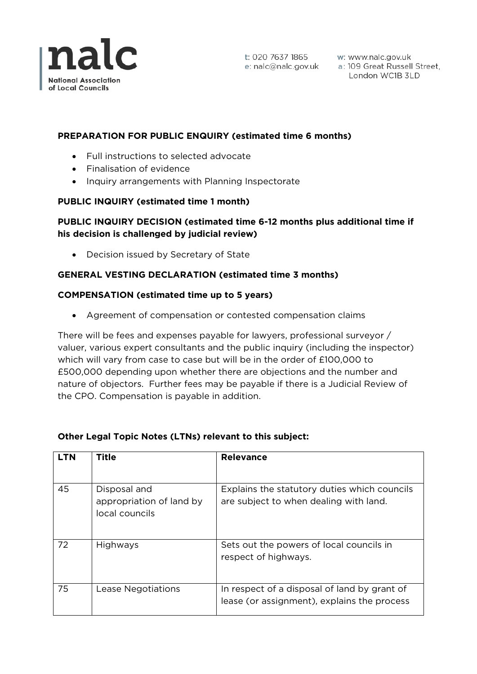

w: www.nalc.gov.uk a: 109 Great Russell Street, London WC1B 3LD

# **PREPARATION FOR PUBLIC ENQUIRY (estimated time 6 months)**

- Full instructions to selected advocate
- Finalisation of evidence
- Inquiry arrangements with Planning Inspectorate

## **PUBLIC INQUIRY (estimated time 1 month)**

# **PUBLIC INQUIRY DECISION (estimated time 6-12 months plus additional time if his decision is challenged by judicial review)**

• Decision issued by Secretary of State

# **GENERAL VESTING DECLARATION (estimated time 3 months)**

#### **COMPENSATION (estimated time up to 5 years)**

• Agreement of compensation or contested compensation claims

There will be fees and expenses payable for lawyers, professional surveyor / valuer, various expert consultants and the public inquiry (including the inspector) which will vary from case to case but will be in the order of £100,000 to £500,000 depending upon whether there are objections and the number and nature of objectors. Further fees may be payable if there is a Judicial Review of the CPO. Compensation is payable in addition.

| LTN | Title                                                      | <b>Relevance</b>                                                                            |
|-----|------------------------------------------------------------|---------------------------------------------------------------------------------------------|
| 45  | Disposal and<br>appropriation of land by<br>local councils | Explains the statutory duties which councils<br>are subject to when dealing with land.      |
| 72  | Highways                                                   | Sets out the powers of local councils in<br>respect of highways.                            |
| 75  | Lease Negotiations                                         | In respect of a disposal of land by grant of<br>lease (or assignment), explains the process |

#### **Other Legal Topic Notes (LTNs) relevant to this subject:**